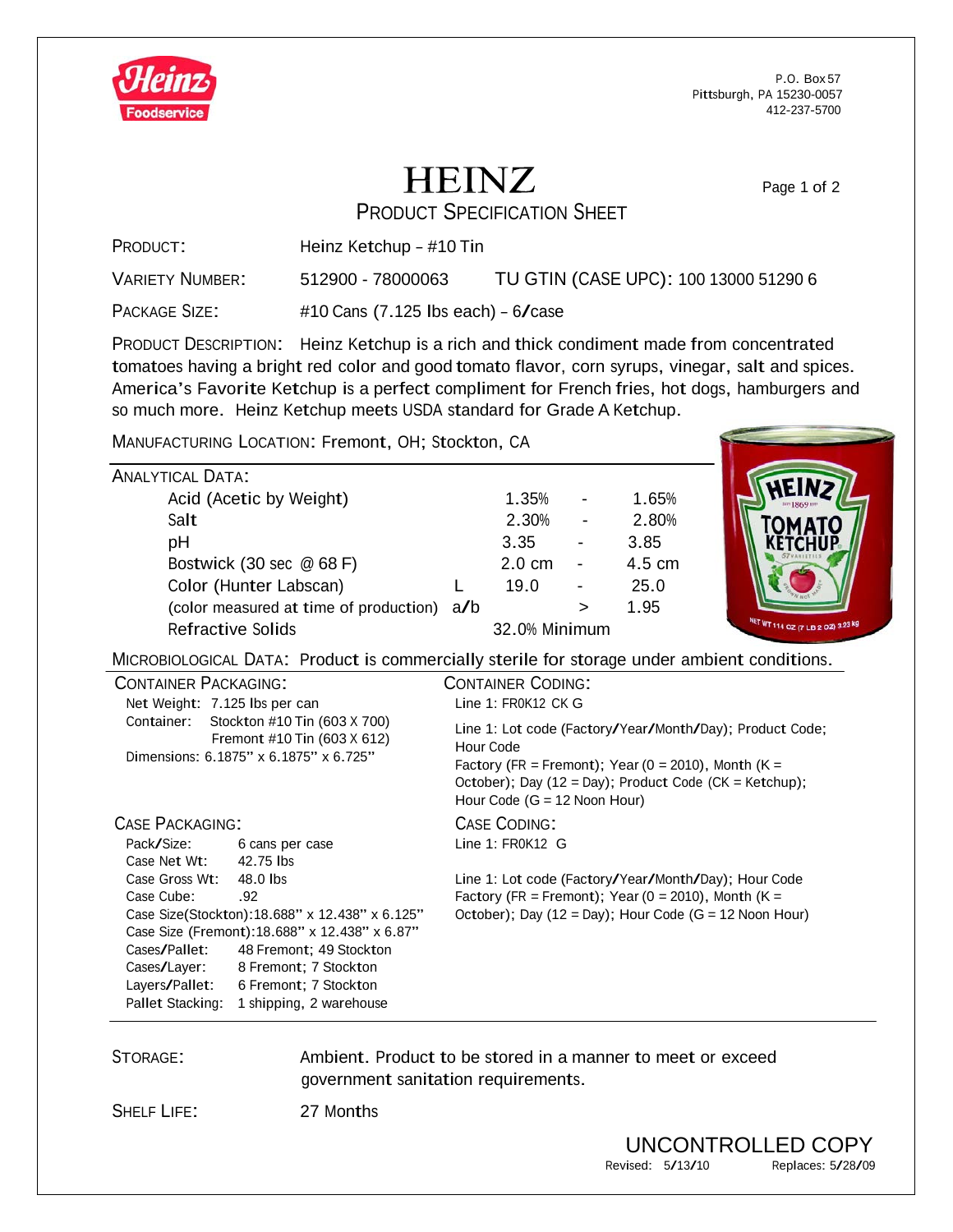

P.O. Box 57 Pittsburgh, PA 15230-0057 412-237-5700

Page 1 of 2

## **HEINZ**

PRODUCT SPECIFICATION SHEET

PRODUCT: Heinz Ketchup – #10 Tin

VARIETY NUMBER: 512900 - 78000063 TU GTIN (CASE UPC): <sup>100</sup> <sup>13000</sup> <sup>51290</sup> 6

PACKAGE SIZE: #10 Cans (7.125 lbs each) - 6/case

PRODUCT DESCRIPTION: Heinz Ketchup is a rich and thick condiment made from concentrated tomatoes having a bright red color and good tomato flavor, corn syrups, vinegar, salt and spices. America's Favorite Ketchup is <sup>a</sup> perfect compliment for French fries, hot dogs, hamburgers and so much more. Heinz Ketchup meets USDA standard for Grade A Ketchup.

MANUFACTURING LOCATION: Fremont, OH; Stockton, CA

| ANALYTICAL DATA:                           |               |                  |                          |        |
|--------------------------------------------|---------------|------------------|--------------------------|--------|
| Acid (Acetic by Weight)                    |               | 1.35%            |                          | 1.65%  |
| Salt                                       |               | 2.30%            | $\overline{\phantom{a}}$ | 2.80%  |
| рH                                         |               | 3.35             |                          | 3.85   |
| Bostwick (30 sec @ 68 F)                   |               | $2.0 \text{ cm}$ |                          | 4.5 cm |
| Color (Hunter Labscan)                     |               | 19.0             |                          | 25.0   |
| (color measured at time of production) a/b |               |                  | $\geq$                   | 1.95   |
| <b>Refractive Solids</b>                   | 32.0% Minimum |                  |                          |        |
|                                            |               |                  |                          |        |



MICROBIOLOGICAL DATA: Product is commercially sterile for storage under ambient conditions.

|                                                |                                                                                                       | .                                                                                                                                                                                                                        |
|------------------------------------------------|-------------------------------------------------------------------------------------------------------|--------------------------------------------------------------------------------------------------------------------------------------------------------------------------------------------------------------------------|
| <b>CONTAINER PACKAGING:</b>                    |                                                                                                       | <b>CONTAINER CODING:</b>                                                                                                                                                                                                 |
|                                                | Net Weight: 7.125 lbs per can                                                                         | Line $1:$ FR0K12 CK G                                                                                                                                                                                                    |
| Container:                                     | Stockton #10 Tin (603 X 700)<br>Fremont #10 Tin (603 X 612)<br>Dimensions: 6.1875" x 6.1875" x 6.725" | Line 1: Lot code (Factory/Year/Month/Day); Product Code;<br>Hour Code<br>Factory (FR = Fremont); Year (0 = 2010), Month (K =<br>October); Day (12 = Day); Product Code (CK = Ketchup);<br>Hour Code $(G = 12$ Noon Hour) |
| <b>CASE PACKAGING:</b>                         |                                                                                                       | <b>CASE CODING:</b>                                                                                                                                                                                                      |
| Pack/Size:                                     | 6 cans per case                                                                                       | Line $1:FR0K12$ G                                                                                                                                                                                                        |
| Case Net Wt:                                   | 42.75 lbs                                                                                             |                                                                                                                                                                                                                          |
| Case Gross Wt:                                 | 48.0 lbs                                                                                              | Line 1: Lot code (Factory/Year/Month/Day); Hour Code                                                                                                                                                                     |
| Case Cube:                                     | .92                                                                                                   | Factory (FR = Fremont); Year ( $0 = 2010$ ), Month ( $K =$                                                                                                                                                               |
|                                                | Case Size(Stockton): 18.688" x 12.438" x 6.125"                                                       | October); Day (12 = Day); Hour Code (G = 12 Noon Hour)                                                                                                                                                                   |
| Case Size (Fremont): 18.688" x 12.438" x 6.87" |                                                                                                       |                                                                                                                                                                                                                          |
| Cases/Pallet:                                  | 48 Fremont; 49 Stockton                                                                               |                                                                                                                                                                                                                          |
| Cases/Layer:                                   | 8 Fremont; 7 Stockton                                                                                 |                                                                                                                                                                                                                          |
| Layers/Pallet:                                 | 6 Fremont; 7 Stockton                                                                                 |                                                                                                                                                                                                                          |
| Pallet Stacking:                               | 1 shipping, 2 warehouse                                                                               |                                                                                                                                                                                                                          |

STORAGE: Ambient. Product to be stored in a manner to meet or exceed government sanitation requirements.

SHELF LIFE: 27 Months

UNCONTROLLED COPY<br>
ised: 5/13/10 Replaces: 5/28/09 Revised: 5/13/10